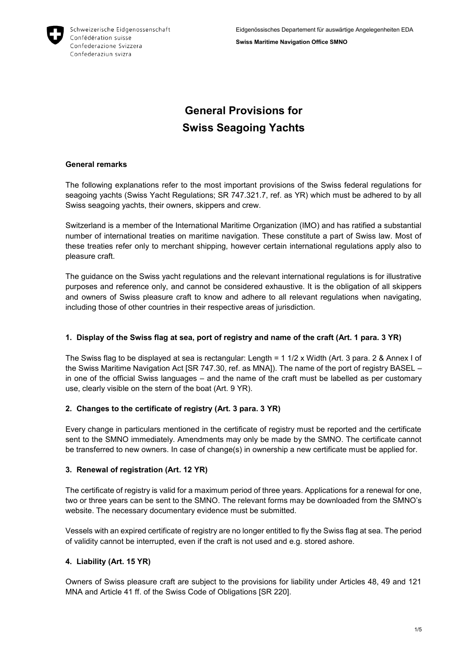

**Swiss Maritime Navigation Office SMNO**

# **General Provisions for Swiss Seagoing Yachts**

## **General remarks**

The following explanations refer to the most important provisions of the Swiss federal regulations for seagoing yachts (Swiss Yacht Regulations; SR 747.321.7, ref. as YR) which must be adhered to by all Swiss seagoing yachts, their owners, skippers and crew.

Switzerland is a member of the International Maritime Organization (IMO) and has ratified a substantial number of international treaties on maritime navigation. These constitute a part of Swiss law. Most of these treaties refer only to merchant shipping, however certain international regulations apply also to pleasure craft.

The guidance on the Swiss yacht regulations and the relevant international regulations is for illustrative purposes and reference only, and cannot be considered exhaustive. It is the obligation of all skippers and owners of Swiss pleasure craft to know and adhere to all relevant regulations when navigating, including those of other countries in their respective areas of jurisdiction.

# **1. Display of the Swiss flag at sea, port of registry and name of the craft (Art. 1 para. 3 YR)**

The Swiss flag to be displayed at sea is rectangular: Length = 1 1/2 x Width (Art. 3 para. 2 & Annex I of the Swiss Maritime Navigation Act [SR 747.30, ref. as MNA]). The name of the port of registry BASEL in one of the official Swiss languages – and the name of the craft must be labelled as per customary use, clearly visible on the stern of the boat (Art. 9 YR).

# **2. Changes to the certificate of registry (Art. 3 para. 3 YR)**

Every change in particulars mentioned in the certificate of registry must be reported and the certificate sent to the SMNO immediately. Amendments may only be made by the SMNO. The certificate cannot be transferred to new owners. In case of change(s) in ownership a new certificate must be applied for.

## **3. Renewal of registration (Art. 12 YR)**

The certificate of registry is valid for a maximum period of three years. Applications for a renewal for one, two or three years can be sent to the SMNO. The relevant forms may be downloaded from the SMNO's website. The necessary documentary evidence must be submitted.

Vessels with an expired certificate of registry are no longer entitled to fly the Swiss flag at sea. The period of validity cannot be interrupted, even if the craft is not used and e.g. stored ashore.

# **4. Liability (Art. 15 YR)**

Owners of Swiss pleasure craft are subject to the provisions for liability under Articles 48, 49 and 121 MNA and Article 41 ff. of the Swiss Code of Obligations [SR 220].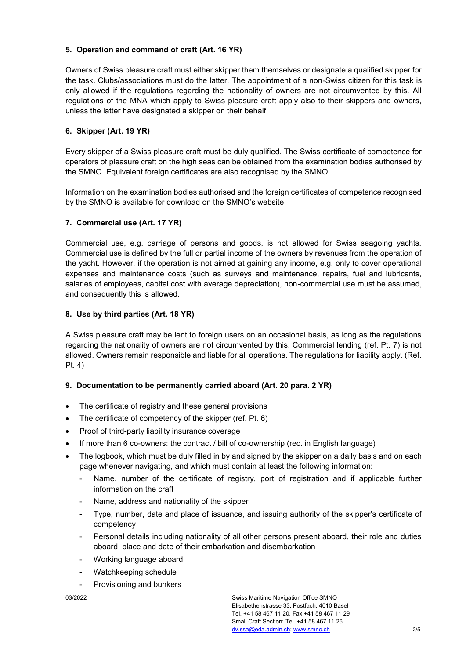## **5. Operation and command of craft (Art. 16 YR)**

Owners of Swiss pleasure craft must either skipper them themselves or designate a qualified skipper for the task. Clubs/associations must do the latter. The appointment of a non-Swiss citizen for this task is only allowed if the regulations regarding the nationality of owners are not circumvented by this. All regulations of the MNA which apply to Swiss pleasure craft apply also to their skippers and owners, unless the latter have designated a skipper on their behalf.

## **6. Skipper (Art. 19 YR)**

Every skipper of a Swiss pleasure craft must be duly qualified. The Swiss certificate of competence for operators of pleasure craft on the high seas can be obtained from the examination bodies authorised by the SMNO. Equivalent foreign certificates are also recognised by the SMNO.

Information on the examination bodies authorised and the foreign certificates of competence recognised by the SMNO is available for download on the SMNO's website.

#### **7. Commercial use (Art. 17 YR)**

Commercial use, e.g. carriage of persons and goods, is not allowed for Swiss seagoing yachts. Commercial use is defined by the full or partial income of the owners by revenues from the operation of the yacht. However, if the operation is not aimed at gaining any income, e.g. only to cover operational expenses and maintenance costs (such as surveys and maintenance, repairs, fuel and lubricants, salaries of employees, capital cost with average depreciation), non-commercial use must be assumed, and consequently this is allowed.

#### **8. Use by third parties (Art. 18 YR)**

A Swiss pleasure craft may be lent to foreign users on an occasional basis, as long as the regulations regarding the nationality of owners are not circumvented by this. Commercial lending (ref. Pt. 7) is not allowed. Owners remain responsible and liable for all operations. The regulations for liability apply. (Ref. Pt. 4)

#### **9. Documentation to be permanently carried aboard (Art. 20 para. 2 YR)**

- The certificate of registry and these general provisions
- The certificate of competency of the skipper (ref. Pt. 6)
- Proof of third-party liability insurance coverage
- If more than 6 co-owners: the contract / bill of co-ownership (rec. in English language)
- The logbook, which must be duly filled in by and signed by the skipper on a daily basis and on each page whenever navigating, and which must contain at least the following information:
	- Name, number of the certificate of registry, port of registration and if applicable further information on the craft
	- Name, address and nationality of the skipper
	- Type, number, date and place of issuance, and issuing authority of the skipper's certificate of competency
	- Personal details including nationality of all other persons present aboard, their role and duties aboard, place and date of their embarkation and disembarkation
	- Working language aboard
	- Watchkeeping schedule
	- Provisioning and bunkers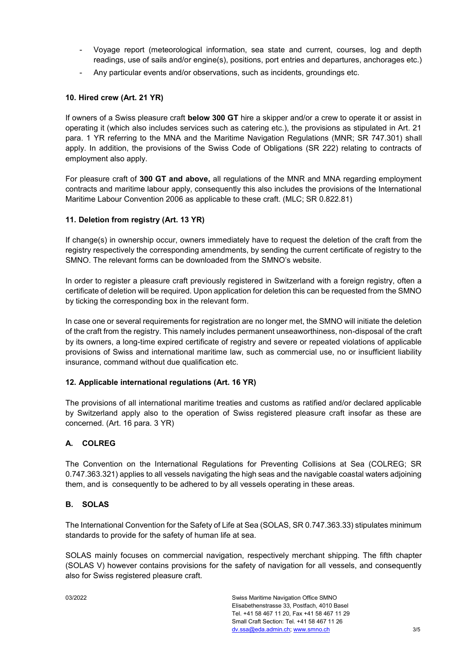- Voyage report (meteorological information, sea state and current, courses, log and depth readings, use of sails and/or engine(s), positions, port entries and departures, anchorages etc.)
- Any particular events and/or observations, such as incidents, groundings etc.

#### **10. Hired crew (Art. 21 YR)**

If owners of a Swiss pleasure craft **below 300 GT** hire a skipper and/or a crew to operate it or assist in operating it (which also includes services such as catering etc.), the provisions as stipulated in Art. 21 para. 1 YR referring to the MNA and the Maritime Navigation Regulations (MNR; SR 747.301) shall apply. In addition, the provisions of the Swiss Code of Obligations (SR 222) relating to contracts of employment also apply.

For pleasure craft of **300 GT and above,** all regulations of the MNR and MNA regarding employment contracts and maritime labour apply, consequently this also includes the provisions of the International Maritime Labour Convention 2006 as applicable to these craft. (MLC; SR 0.822.81)

#### **11. Deletion from registry (Art. 13 YR)**

If change(s) in ownership occur, owners immediately have to request the deletion of the craft from the registry respectively the corresponding amendments, by sending the current certificate of registry to the SMNO. The relevant forms can be downloaded from the SMNO's website.

In order to register a pleasure craft previously registered in Switzerland with a foreign registry, often a certificate of deletion will be required. Upon application for deletion this can be requested from the SMNO by ticking the corresponding box in the relevant form.

In case one or several requirements for registration are no longer met, the SMNO will initiate the deletion of the craft from the registry. This namely includes permanent unseaworthiness, non-disposal of the craft by its owners, a long-time expired certificate of registry and severe or repeated violations of applicable provisions of Swiss and international maritime law, such as commercial use, no or insufficient liability insurance, command without due qualification etc.

#### **12. Applicable international regulations (Art. 16 YR)**

The provisions of all international maritime treaties and customs as ratified and/or declared applicable by Switzerland apply also to the operation of Swiss registered pleasure craft insofar as these are concerned. (Art. 16 para. 3 YR)

#### **A. COLREG**

The Convention on the International Regulations for Preventing Collisions at Sea (COLREG; SR 0.747.363.321) applies to all vessels navigating the high seas and the navigable coastal waters adjoining them, and is consequently to be adhered to by all vessels operating in these areas.

#### **B. SOLAS**

The International Convention for the Safety of Life at Sea (SOLAS, SR 0.747.363.33) stipulates minimum standards to provide for the safety of human life at sea.

SOLAS mainly focuses on commercial navigation, respectively merchant shipping. The fifth chapter (SOLAS V) however contains provisions for the safety of navigation for all vessels, and consequently also for Swiss registered pleasure craft.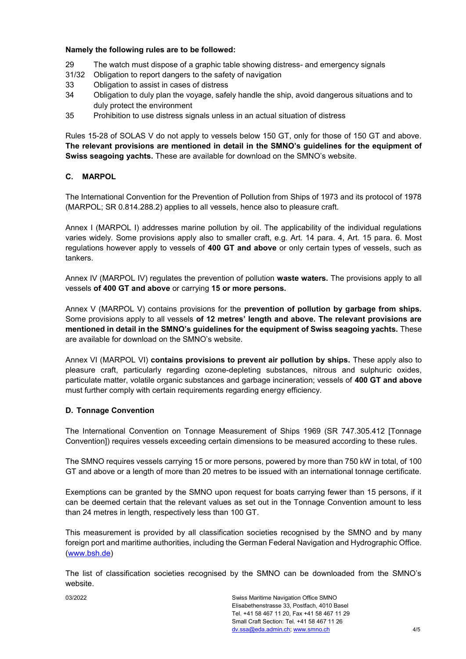#### **Namely the following rules are to be followed:**

- 29 The watch must dispose of a graphic table showing distress- and emergency signals
- 31/32 Obligation to report dangers to the safety of navigation
- 33 Obligation to assist in cases of distress
- 34 Obligation to duly plan the voyage, safely handle the ship, avoid dangerous situations and to duly protect the environment
- 35 Prohibition to use distress signals unless in an actual situation of distress

Rules 15-28 of SOLAS V do not apply to vessels below 150 GT, only for those of 150 GT and above. **The relevant provisions are mentioned in detail in the SMNO's guidelines for the equipment of Swiss seagoing yachts.** These are available for download on the SMNO's website.

#### **C. MARPOL**

The International Convention for the Prevention of Pollution from Ships of 1973 and its protocol of 1978 (MARPOL; SR 0.814.288.2) applies to all vessels, hence also to pleasure craft.

Annex I (MARPOL I) addresses marine pollution by oil. The applicability of the individual regulations varies widely. Some provisions apply also to smaller craft, e.g. Art. 14 para. 4, Art. 15 para. 6. Most regulations however apply to vessels of **400 GT and above** or only certain types of vessels, such as tankers.

Annex IV (MARPOL IV) regulates the prevention of pollution **waste waters.** The provisions apply to all vessels **of 400 GT and above** or carrying **15 or more persons.**

Annex V (MARPOL V) contains provisions for the **prevention of pollution by garbage from ships.** Some provisions apply to all vessels **of 12 metres' length and above. The relevant provisions are mentioned in detail in the SMNO's guidelines for the equipment of Swiss seagoing yachts.** These are available for download on the SMNO's website.

Annex VI (MARPOL VI) **contains provisions to prevent air pollution by ships.** These apply also to pleasure craft, particularly regarding ozone-depleting substances, nitrous and sulphuric oxides, particulate matter, volatile organic substances and garbage incineration; vessels of **400 GT and above** must further comply with certain requirements regarding energy efficiency.

#### **D. Tonnage Convention**

The International Convention on Tonnage Measurement of Ships 1969 (SR 747.305.412 [Tonnage Convention]) requires vessels exceeding certain dimensions to be measured according to these rules.

The SMNO requires vessels carrying 15 or more persons, powered by more than 750 kW in total, of 100 GT and above or a length of more than 20 metres to be issued with an international tonnage certificate.

Exemptions can be granted by the SMNO upon request for boats carrying fewer than 15 persons, if it can be deemed certain that the relevant values as set out in the Tonnage Convention amount to less than 24 metres in length, respectively less than 100 GT.

This measurement is provided by all classification societies recognised by the SMNO and by many foreign port and maritime authorities, including the German Federal Navigation and Hydrographic Office. [\(www.bsh.de\)](http://www.bsh.de/)

The list of classification societies recognised by the SMNO can be downloaded from the SMNO's website.